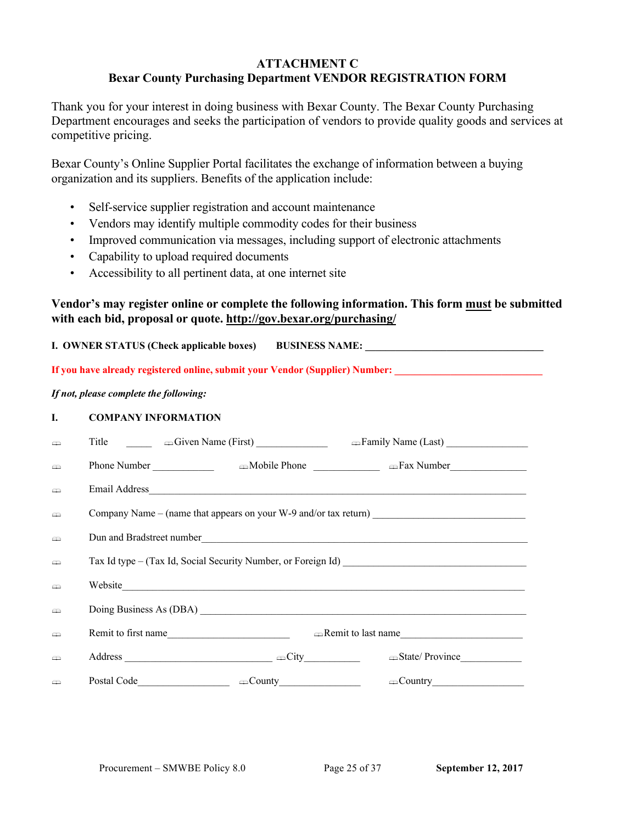## **ATTACHMENT C Bexar County Purchasing Department VENDOR REGISTRATION FORM**

Thank you for your interest in doing business with Bexar County. The Bexar County Purchasing Department encourages and seeks the participation of vendors to provide quality goods and services at competitive pricing.

Bexar County's Online Supplier Portal facilitates the exchange of information between a buying organization and its suppliers. Benefits of the application include:

- Self-service supplier registration and account maintenance
- Vendors may identify multiple commodity codes for their business
- Improved communication via messages, including support of electronic attachments
- Capability to upload required documents
- Accessibility to all pertinent data, at one internet site

## **Vendor's may register online or complete the following information. This form must be submitted with each bid, proposal or quote. http://gov.bexar.org/purchasing/**

| I. OWNER STATUS (Check applicable boxes) BUSINESS NAME: ________________________                               |                                                |  |  |  |  |
|----------------------------------------------------------------------------------------------------------------|------------------------------------------------|--|--|--|--|
| If you have already registered online, submit your Vendor (Supplier) Number: _________________________________ |                                                |  |  |  |  |
| If not, please complete the following:                                                                         |                                                |  |  |  |  |
| I.                                                                                                             | <b>COMPANY INFORMATION</b>                     |  |  |  |  |
| ఆ                                                                                                              |                                                |  |  |  |  |
| $\Rightarrow$                                                                                                  |                                                |  |  |  |  |
| ⇔                                                                                                              |                                                |  |  |  |  |
| ఆ                                                                                                              |                                                |  |  |  |  |
| ⇔                                                                                                              |                                                |  |  |  |  |
| ఆ                                                                                                              |                                                |  |  |  |  |
| ⇔                                                                                                              |                                                |  |  |  |  |
| m                                                                                                              |                                                |  |  |  |  |
| ఆ                                                                                                              | Remit to first name<br>Remit to last name      |  |  |  |  |
| ఆ                                                                                                              | Address $\Box$<br>State/Province______________ |  |  |  |  |
| m                                                                                                              |                                                |  |  |  |  |